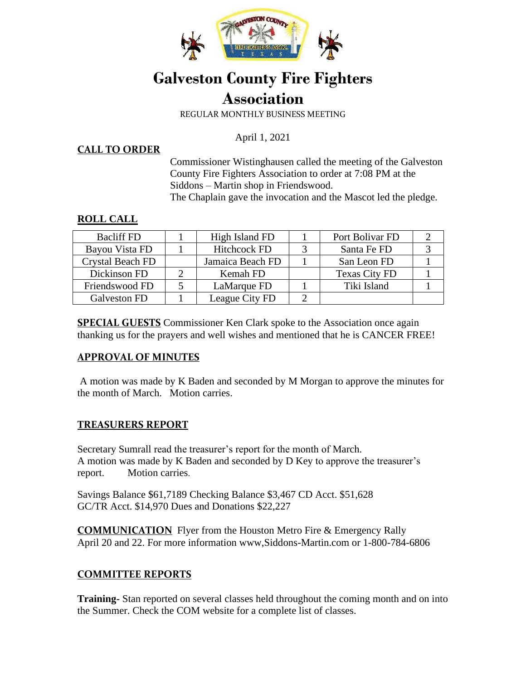

# **Galveston County Fire Fighters Association**

REGULAR MONTHLY BUSINESS MEETING

April 1, 2021

#### **CALL TO ORDER**

Commissioner Wistinghausen called the meeting of the Galveston County Fire Fighters Association to order at 7:08 PM at the Siddons – Martin shop in Friendswood. The Chaplain gave the invocation and the Mascot led the pledge.

#### **ROLL CALL**

| <b>Bacliff FD</b>       | High Island FD      | Port Bolivar FD      |  |
|-------------------------|---------------------|----------------------|--|
| Bayou Vista FD          | <b>Hitchcock FD</b> | Santa Fe FD          |  |
| <b>Crystal Beach FD</b> | Jamaica Beach FD    | San Leon FD          |  |
| Dickinson FD            | Kemah FD            | <b>Texas City FD</b> |  |
| Friendswood FD          | LaMarque FD         | Tiki Island          |  |
| Galveston FD            | League City FD      |                      |  |

**SPECIAL GUESTS** Commissioner Ken Clark spoke to the Association once again thanking us for the prayers and well wishes and mentioned that he is CANCER FREE!

#### **APPROVAL OF MINUTES**

A motion was made by K Baden and seconded by M Morgan to approve the minutes for the month of March. Motion carries.

## **TREASURERS REPORT**

Secretary Sumrall read the treasurer's report for the month of March. A motion was made by K Baden and seconded by D Key to approve the treasurer's report. Motion carries.

Savings Balance \$61,7189 Checking Balance \$3,467 CD Acct. \$51,628 GC/TR Acct. \$14,970 Dues and Donations \$22,227

**COMMUNICATION** Flyer from the Houston Metro Fire & Emergency Rally April 20 and 22. For more information www,Siddons-Martin.com or 1-800-784-6806

## **COMMITTEE REPORTS**

**Training-** Stan reported on several classes held throughout the coming month and on into the Summer. Check the COM website for a complete list of classes.